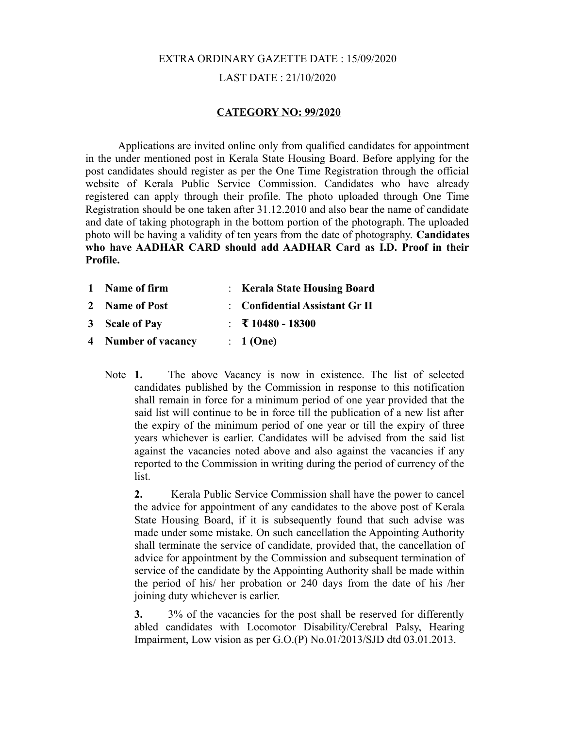# EXTRA ORDINARY GAZETTE DATE : 15/09/2020 LAST DATE : 21/10/2020

### **CATEGORY NO: 99/2020**

Applications are invited online only from qualified candidates for appointment in the under mentioned post in Kerala State Housing Board. Before applying for the post candidates should register as per the One Time Registration through the official website of Kerala Public Service Commission. Candidates who have already registered can apply through their profile. The photo uploaded through One Time Registration should be one taken after 31.12.2010 and also bear the name of candidate and date of taking photograph in the bottom portion of the photograph. The uploaded photo will be having a validity of ten years from the date of photography. **Candidates who have AADHAR CARD should add AADHAR Card as I.D. Proof in their Profile.**

| 1 Name of firm      | : Kerala State Housing Board   |
|---------------------|--------------------------------|
| 2 Name of Post      | : Confidential Assistant Gr II |
| 3 Scale of Pay      | $\pm$ ₹ 10480 - 18300          |
| 4 Number of vacancy | : 1(One)                       |

Note **1.** The above Vacancy is now in existence. The list of selected candidates published by the Commission in response to this notification shall remain in force for a minimum period of one year provided that the said list will continue to be in force till the publication of a new list after the expiry of the minimum period of one year or till the expiry of three years whichever is earlier. Candidates will be advised from the said list against the vacancies noted above and also against the vacancies if any reported to the Commission in writing during the period of currency of the list.

**2.** Kerala Public Service Commission shall have the power to cancel the advice for appointment of any candidates to the above post of Kerala State Housing Board, if it is subsequently found that such advise was made under some mistake. On such cancellation the Appointing Authority shall terminate the service of candidate, provided that, the cancellation of advice for appointment by the Commission and subsequent termination of service of the candidate by the Appointing Authority shall be made within the period of his/ her probation or 240 days from the date of his /her joining duty whichever is earlier.

**3.** 3% of the vacancies for the post shall be reserved for differently abled candidates with Locomotor Disability/Cerebral Palsy, Hearing Impairment, Low vision as per G.O.(P) No.01/2013/SJD dtd 03.01.2013.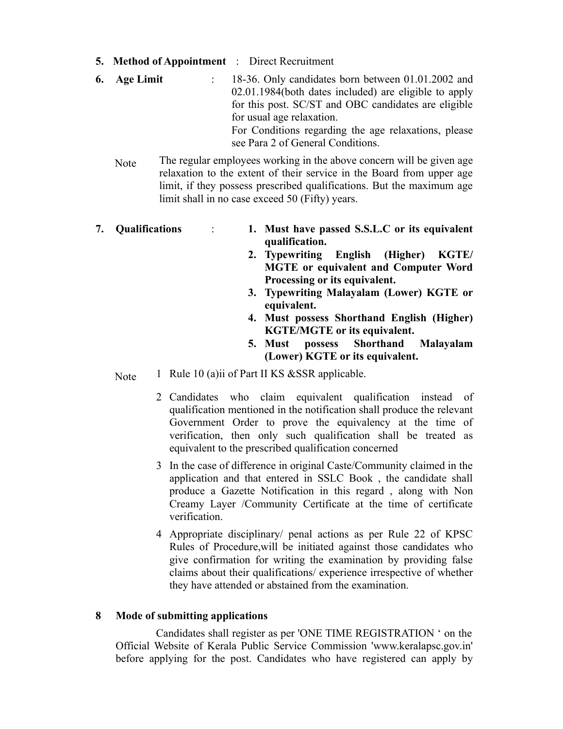- **5. Method of Appointment** : Direct Recruitment
- **6. Age Limit** : 18-36. Only candidates born between 01.01.2002 and 02.01.1984(both dates included) are eligible to apply for this post. SC/ST and OBC candidates are eligible for usual age relaxation. For Conditions regarding the age relaxations, please see Para 2 of General Conditions.
	- Note The regular employees working in the above concern will be given age relaxation to the extent of their service in the Board from upper age limit, if they possess prescribed qualifications. But the maximum age limit shall in no case exceed 50 (Fifty) years.
- **7. Qualifications** : **1. Must have passed S.S.L.C or its equivalent qualification.**
	- **2. Typewriting English (Higher) KGTE/ MGTE or equivalent and Computer Word Processing or its equivalent.**
	- **3. Typewriting Malayalam (Lower) KGTE or equivalent.**
	- **4. Must possess Shorthand English (Higher) KGTE/MGTE or its equivalent.**
	- **5. Must possess Shorthand Malayalam (Lower) KGTE or its equivalent.**
	- Note 1 Rule 10 (a)ii of Part II KS &SSR applicable.
		- 2 Candidates who claim equivalent qualification instead of qualification mentioned in the notification shall produce the relevant Government Order to prove the equivalency at the time of verification, then only such qualification shall be treated as equivalent to the prescribed qualification concerned
		- 3 In the case of difference in original Caste/Community claimed in the application and that entered in SSLC Book , the candidate shall produce a Gazette Notification in this regard , along with Non Creamy Layer /Community Certificate at the time of certificate verification.
		- 4 Appropriate disciplinary/ penal actions as per Rule 22 of KPSC Rules of Procedure,will be initiated against those candidates who give confirmation for writing the examination by providing false claims about their qualifications/ experience irrespective of whether they have attended or abstained from the examination.

## **8 Mode of submitting applications**

 Candidates shall register as per 'ONE TIME REGISTRATION ' on the Official Website of Kerala Public Service Commission 'www.keralapsc.gov.in' before applying for the post. Candidates who have registered can apply by